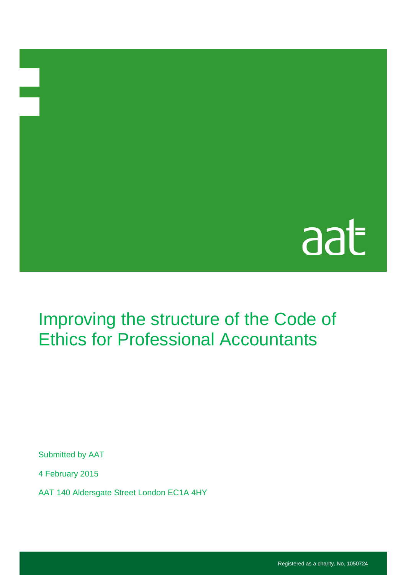## aat

## Improving the structure of the Code of Ethics for Professional Accountants

Submitted by AAT

4 February 2015

AAT 140 Aldersgate Street London EC1A 4HY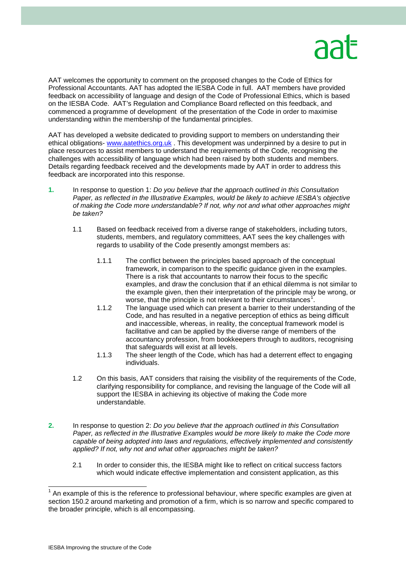

AAT welcomes the opportunity to comment on the proposed changes to the Code of Ethics for Professional Accountants. AAT has adopted the IESBA Code in full. AAT members have provided feedback on accessibility of language and design of the Code of Professional Ethics, which is based on the IESBA Code. AAT's Regulation and Compliance Board reflected on this feedback, and commenced a programme of development of the presentation of the Code in order to maximise understanding within the membership of the fundamental principles.

AAT has developed a website dedicated to providing support to members on understanding their ethical obligations- [www.aatethics.org.uk](http://www.aatethics.org.uk/) . This development was underpinned by a desire to put in place resources to assist members to understand the requirements of the Code, recognising the challenges with accessibility of language which had been raised by both students and members. Details regarding feedback received and the developments made by AAT in order to address this feedback are incorporated into this response.

- **1.** In response to question 1: *Do you believe that the approach outlined in this Consultation Paper, as reflected in the Illustrative Examples, would be likely to achieve IESBA's objective of making the Code more understandable? If not, why not and what other approaches might be taken?*
	- 1.1 Based on feedback received from a diverse range of stakeholders, including tutors, students, members, and regulatory committees, AAT sees the key challenges with regards to usability of the Code presently amongst members as:
		- 1.1.1 The conflict between the principles based approach of the conceptual framework, in comparison to the specific guidance given in the examples. There is a risk that accountants to narrow their focus to the specific examples, and draw the conclusion that if an ethical dilemma is not similar to the example given, then their interpretation of the principle may be wrong, or worse, that the principle is not relevant to their circumstances<sup>[1](#page-1-0)</sup>.
		- 1.1.2 The language used which can present a barrier to their understanding of the Code, and has resulted in a negative perception of ethics as being difficult and inaccessible, whereas, in reality, the conceptual framework model is facilitative and can be applied by the diverse range of members of the accountancy profession, from bookkeepers through to auditors, recognising that safeguards will exist at all levels.
		- 1.1.3 The sheer length of the Code, which has had a deterrent effect to engaging individuals.
	- 1.2 On this basis, AAT considers that raising the visibility of the requirements of the Code, clarifying responsibility for compliance, and revising the language of the Code will all support the IESBA in achieving its objective of making the Code more understandable.
- **2.** In response to question 2: *Do you believe that the approach outlined in this Consultation*  Paper, as reflected in the Illustrative Examples would be more likely to make the Code more *capable of being adopted into laws and regulations, effectively implemented and consistently applied? If not, why not and what other approaches might be taken?*
	- 2.1 In order to consider this, the IESBA might like to reflect on critical success factors which would indicate effective implementation and consistent application, as this

<span id="page-1-0"></span> $1$  An example of this is the reference to professional behaviour, where specific examples are given at section 150.2 around marketing and promotion of a firm, which is so narrow and specific compared to the broader principle, which is all encompassing.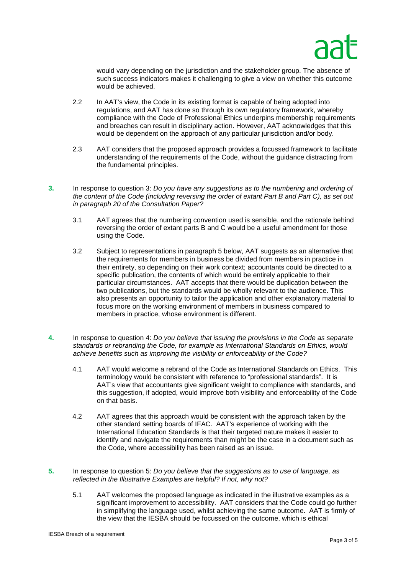

would vary depending on the jurisdiction and the stakeholder group. The absence of such success indicators makes it challenging to give a view on whether this outcome would be achieved.

- 2.2 In AAT's view, the Code in its existing format is capable of being adopted into regulations, and AAT has done so through its own regulatory framework, whereby compliance with the Code of Professional Ethics underpins membership requirements and breaches can result in disciplinary action. However, AAT acknowledges that this would be dependent on the approach of any particular jurisdiction and/or body.
- 2.3 AAT considers that the proposed approach provides a focussed framework to facilitate understanding of the requirements of the Code, without the guidance distracting from the fundamental principles.
- **3.** In response to question 3: *Do you have any suggestions as to the numbering and ordering of the content of the Code (including reversing the order of extant Part B and Part C), as set out in paragraph 20 of the Consultation Paper?* 
	- 3.1 AAT agrees that the numbering convention used is sensible, and the rationale behind reversing the order of extant parts B and C would be a useful amendment for those using the Code.
	- 3.2 Subject to representations in paragraph 5 below, AAT suggests as an alternative that the requirements for members in business be divided from members in practice in their entirety, so depending on their work context; accountants could be directed to a specific publication, the contents of which would be entirely applicable to their particular circumstances. AAT accepts that there would be duplication between the two publications, but the standards would be wholly relevant to the audience. This also presents an opportunity to tailor the application and other explanatory material to focus more on the working environment of members in business compared to members in practice, whose environment is different.
- **4.** In response to question 4: *Do you believe that issuing the provisions in the Code as separate standards or rebranding the Code, for example as International Standards on Ethics, would achieve benefits such as improving the visibility or enforceability of the Code?*
	- 4.1 AAT would welcome a rebrand of the Code as International Standards on Ethics. This terminology would be consistent with reference to "professional standards". It is AAT's view that accountants give significant weight to compliance with standards, and this suggestion, if adopted, would improve both visibility and enforceability of the Code on that basis.
	- 4.2 AAT agrees that this approach would be consistent with the approach taken by the other standard setting boards of IFAC. AAT's experience of working with the International Education Standards is that their targeted nature makes it easier to identify and navigate the requirements than might be the case in a document such as the Code, where accessibility has been raised as an issue.
- **5.** In response to question 5: *Do you believe that the suggestions as to use of language, as reflected in the Illustrative Examples are helpful? If not, why not?*
	- 5.1 AAT welcomes the proposed language as indicated in the illustrative examples as a significant improvement to accessibility. AAT considers that the Code could go further in simplifying the language used, whilst achieving the same outcome. AAT is firmly of the view that the IESBA should be focussed on the outcome, which is ethical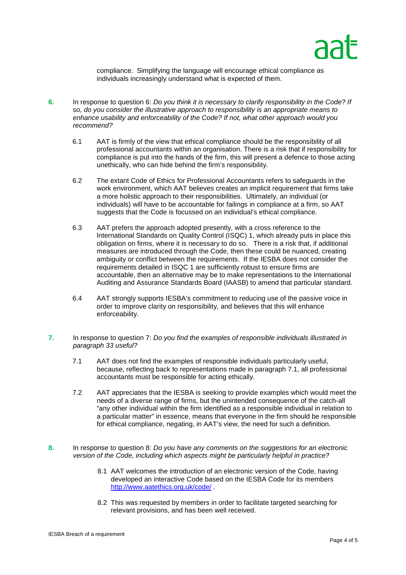compliance. Simplifying the language will encourage ethical compliance as individuals increasingly understand what is expected of them.

- **6.** In response to question 6: *Do you think it is necessary to clarify responsibility in the Code? If so, do you consider the illustrative approach to responsibility is an appropriate means to enhance usability and enforceability of the Code? If not, what other approach would you recommend?*
	- 6.1 AAT is firmly of the view that ethical compliance should be the responsibility of all professional accountants within an organisation. There is a risk that if responsibility for compliance is put into the hands of the firm, this will present a defence to those acting unethically, who can hide behind the firm's responsibility.
	- 6.2 The extant Code of Ethics for Professional Accountants refers to safeguards in the work environment, which AAT believes creates an implicit requirement that firms take a more holistic approach to their responsibilities. Ultimately, an individual (or individuals) will have to be accountable for failings in compliance at a firm, so AAT suggests that the Code is focussed on an individual's ethical compliance.
	- 6.3 AAT prefers the approach adopted presently, with a cross reference to the International Standards on Quality Control (ISQC) 1, which already puts in place this obligation on firms, where it is necessary to do so. There is a risk that, if additional measures are introduced through the Code, then these could be nuanced, creating ambiguity or conflict between the requirements. If the IESBA does not consider the requirements detailed in ISQC 1 are sufficiently robust to ensure firms are accountable, then an alternative may be to make representations to the International Auditing and Assurance Standards Board (IAASB) to amend that particular standard.
	- 6.4 AAT strongly supports IESBA's commitment to reducing use of the passive voice in order to improve clarity on responsibility, and believes that this will enhance enforceability.
- **7.** In response to question 7: *Do you find the examples of responsible individuals illustrated in paragraph 33 useful?*
	- 7.1 AAT does not find the examples of responsible individuals particularly useful, because, reflecting back to representations made in paragraph 7.1, all professional accountants must be responsible for acting ethically.
	- 7.2 AAT appreciates that the IESBA is seeking to provide examples which would meet the needs of a diverse range of firms, but the unintended consequence of the catch-all "any other individual within the firm identified as a responsible individual in relation to a particular matter" in essence, means that everyone in the firm should be responsible for ethical compliance, negating, in AAT's view, the need for such a definition.
- **8.** In response to question 8: *Do you have any comments on the suggestions for an electronic version of the Code, including which aspects might be particularly helpful in practice?*
	- 8.1 AAT welcomes the introduction of an electronic version of the Code, having developed an interactive Code based on the IESBA Code for its members <http://www.aatethics.org.uk/code/> .
	- 8.2 This was requested by members in order to facilitate targeted searching for relevant provisions, and has been well received.